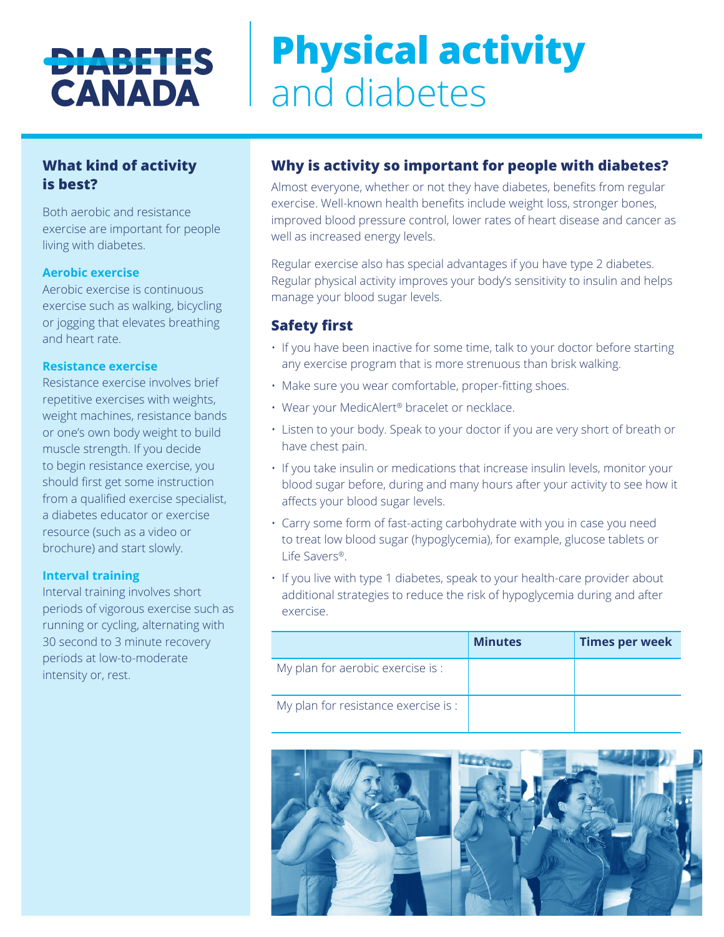## **DIABETES CANADA**

# **Physical activity**  and diabetes

## **What kind of activity is best?**

Both aerobic and resistance exercise are important for people living with diabetes.

#### **Aerobic exercise**

Aerobic exercise is continuous exercise such as walking, bicycling or jogging that elevates breathing and heart rate.

#### **Resistance exercise**

Resistance exercise involves brief repetitive exercises with weights, weight machines, resistance bands or one's own body weight to build muscle strength. If you decide to begin resistance exercise, you should first get some instruction from a qualified exercise specialist, a diabetes educator or exercise resource (such as a video or brochure) and start slowly.

#### **Interval training**

Interval training involves short periods of vigorous exercise such as running or cycling, alternating with 30 second to 3 minute recovery periods at low-to-moderate intensity or, rest.

## **Why is activity so important for people with diabetes?**

Almost everyone, whether or not they have diabetes, benefits from regular exercise. Well-known health benefits include weight loss, stronger bones, improved blood pressure control, lower rates of heart disease and cancer as well as increased energy levels.

Regular exercise also has special advantages if you have type 2 diabetes. Regular physical activity improves your body's sensitivity to insulin and helps manage your blood sugar levels.

### **Safety first**

- If you have been inactive for some time, talk to your doctor before starting any exercise program that is more strenuous than brisk walking.
- Make sure you wear comfortable, proper-fitting shoes.
- Wear your MedicAlert® bracelet or necklace.
- Listen to your body. Speak to your doctor if you are very short of breath or have chest pain.
- If you take insulin or medications that increase insulin levels, monitor your blood sugar before, during and many hours after your activity to see how it affects your blood sugar levels.
- Carry some form of fast-acting carbohydrate with you in case you need to treat low blood sugar (hypoglycemia), for example, glucose tablets or Life Savers®.
- If you live with type 1 diabetes, speak to your health-care provider about additional strategies to reduce the risk of hypoglycemia during and after exercise.

|                                      | <b>Minutes</b> | <b>Times per week</b> |
|--------------------------------------|----------------|-----------------------|
| My plan for aerobic exercise is :    |                |                       |
| My plan for resistance exercise is : |                |                       |